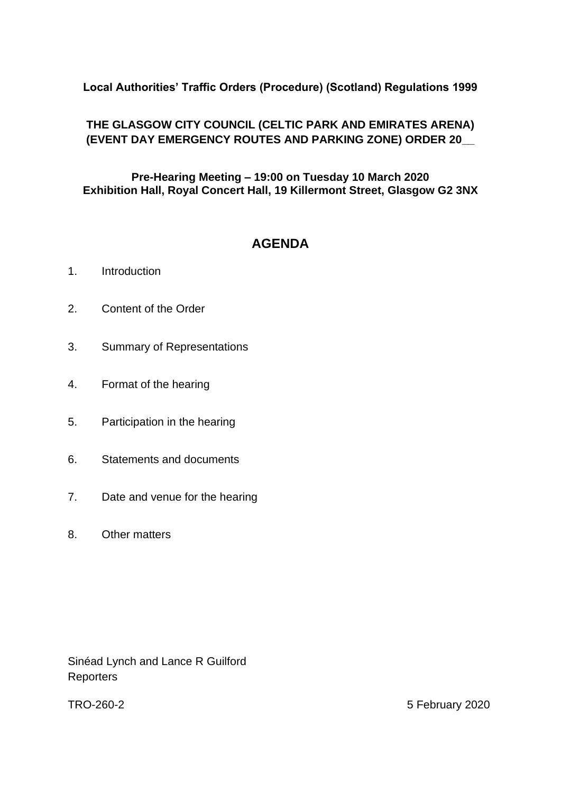## **Local Authorities' Traffic Orders (Procedure) (Scotland) Regulations 1999**

## **THE GLASGOW CITY COUNCIL (CELTIC PARK AND EMIRATES ARENA) (EVENT DAY EMERGENCY ROUTES AND PARKING ZONE) ORDER 20\_\_**

**Pre-Hearing Meeting – 19:00 on Tuesday 10 March 2020 Exhibition Hall, Royal Concert Hall, 19 Killermont Street, Glasgow G2 3NX**

# **AGENDA**

- 1. Introduction
- 2. Content of the Order
- 3. Summary of Representations
- 4. Format of the hearing
- 5. Participation in the hearing
- 6. Statements and documents
- 7. Date and venue for the hearing
- 8. Other matters

Sinéad Lynch and Lance R Guilford **Reporters** 

TRO-260-2 5 February 2020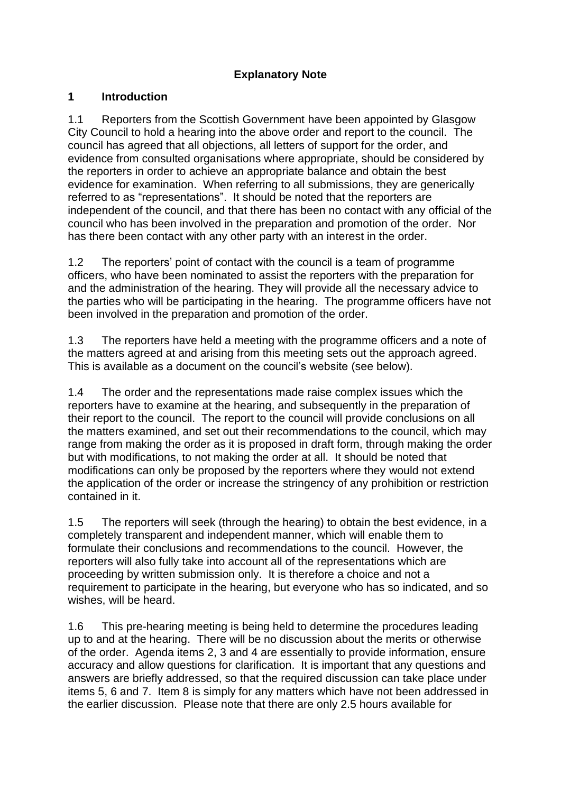### **Explanatory Note**

#### **1 Introduction**

1.1 Reporters from the Scottish Government have been appointed by Glasgow City Council to hold a hearing into the above order and report to the council. The council has agreed that all objections, all letters of support for the order, and evidence from consulted organisations where appropriate, should be considered by the reporters in order to achieve an appropriate balance and obtain the best evidence for examination. When referring to all submissions, they are generically referred to as "representations". It should be noted that the reporters are independent of the council, and that there has been no contact with any official of the council who has been involved in the preparation and promotion of the order. Nor has there been contact with any other party with an interest in the order.

1.2 The reporters' point of contact with the council is a team of programme officers, who have been nominated to assist the reporters with the preparation for and the administration of the hearing. They will provide all the necessary advice to the parties who will be participating in the hearing. The programme officers have not been involved in the preparation and promotion of the order.

1.3 The reporters have held a meeting with the programme officers and a note of the matters agreed at and arising from this meeting sets out the approach agreed. This is available as a document on the council's website (see below).

1.4 The order and the representations made raise complex issues which the reporters have to examine at the hearing, and subsequently in the preparation of their report to the council. The report to the council will provide conclusions on all the matters examined, and set out their recommendations to the council, which may range from making the order as it is proposed in draft form, through making the order but with modifications, to not making the order at all. It should be noted that modifications can only be proposed by the reporters where they would not extend the application of the order or increase the stringency of any prohibition or restriction contained in it.

1.5 The reporters will seek (through the hearing) to obtain the best evidence, in a completely transparent and independent manner, which will enable them to formulate their conclusions and recommendations to the council. However, the reporters will also fully take into account all of the representations which are proceeding by written submission only. It is therefore a choice and not a requirement to participate in the hearing, but everyone who has so indicated, and so wishes, will be heard.

1.6 This pre-hearing meeting is being held to determine the procedures leading up to and at the hearing. There will be no discussion about the merits or otherwise of the order. Agenda items 2, 3 and 4 are essentially to provide information, ensure accuracy and allow questions for clarification. It is important that any questions and answers are briefly addressed, so that the required discussion can take place under items 5, 6 and 7. Item 8 is simply for any matters which have not been addressed in the earlier discussion. Please note that there are only 2.5 hours available for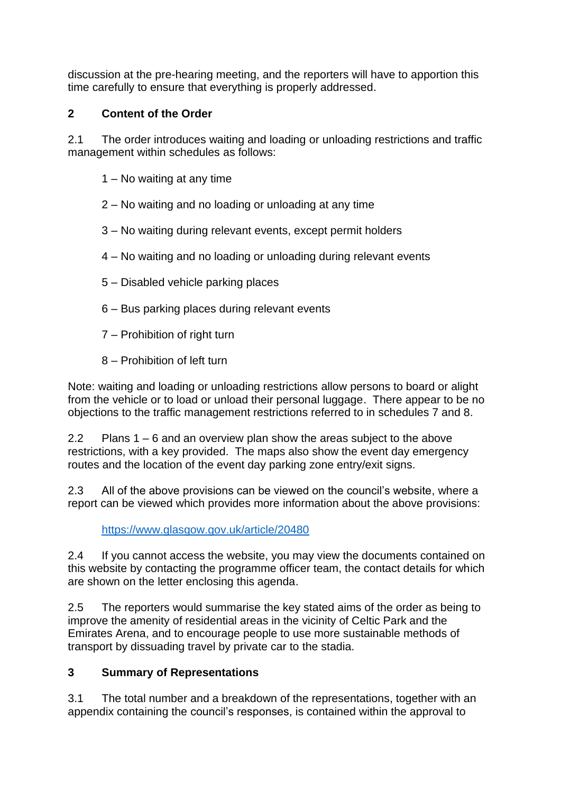discussion at the pre-hearing meeting, and the reporters will have to apportion this time carefully to ensure that everything is properly addressed.

## **2 Content of the Order**

2.1 The order introduces waiting and loading or unloading restrictions and traffic management within schedules as follows:

- 1 No waiting at any time
- 2 No waiting and no loading or unloading at any time
- 3 No waiting during relevant events, except permit holders
- 4 No waiting and no loading or unloading during relevant events
- 5 Disabled vehicle parking places
- 6 Bus parking places during relevant events
- 7 Prohibition of right turn
- 8 Prohibition of left turn

Note: waiting and loading or unloading restrictions allow persons to board or alight from the vehicle or to load or unload their personal luggage. There appear to be no objections to the traffic management restrictions referred to in schedules 7 and 8.

2.2 Plans 1 – 6 and an overview plan show the areas subject to the above restrictions, with a key provided. The maps also show the event day emergency routes and the location of the event day parking zone entry/exit signs.

2.3 All of the above provisions can be viewed on the council's website, where a report can be viewed which provides more information about the above provisions:

<https://www.glasgow.gov.uk/article/20480>

2.4 If you cannot access the website, you may view the documents contained on this website by contacting the programme officer team, the contact details for which are shown on the letter enclosing this agenda.

2.5 The reporters would summarise the key stated aims of the order as being to improve the amenity of residential areas in the vicinity of Celtic Park and the Emirates Arena, and to encourage people to use more sustainable methods of transport by dissuading travel by private car to the stadia.

#### **3 Summary of Representations**

3.1 The total number and a breakdown of the representations, together with an appendix containing the council's responses, is contained within the approval to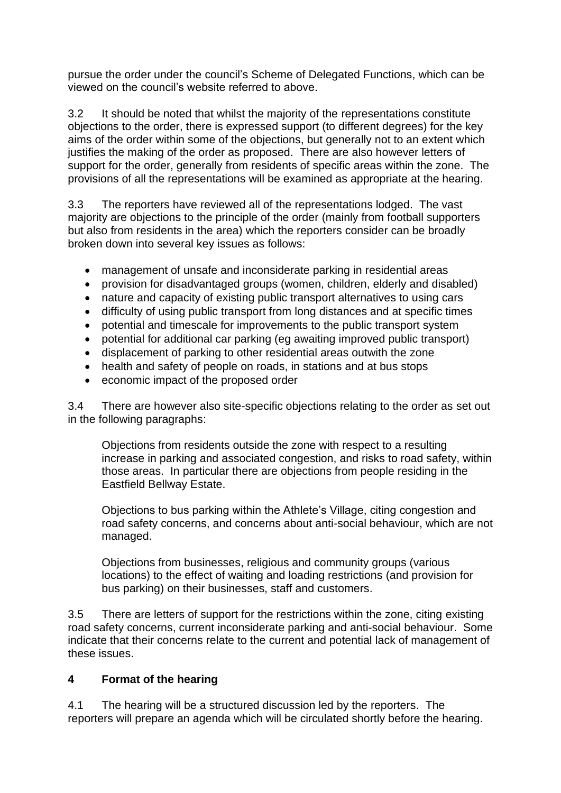pursue the order under the council's Scheme of Delegated Functions, which can be viewed on the council's website referred to above.

3.2 It should be noted that whilst the majority of the representations constitute objections to the order, there is expressed support (to different degrees) for the key aims of the order within some of the objections, but generally not to an extent which justifies the making of the order as proposed. There are also however letters of support for the order, generally from residents of specific areas within the zone. The provisions of all the representations will be examined as appropriate at the hearing.

3.3 The reporters have reviewed all of the representations lodged. The vast majority are objections to the principle of the order (mainly from football supporters but also from residents in the area) which the reporters consider can be broadly broken down into several key issues as follows:

- management of unsafe and inconsiderate parking in residential areas
- provision for disadvantaged groups (women, children, elderly and disabled)
- nature and capacity of existing public transport alternatives to using cars
- difficulty of using public transport from long distances and at specific times
- potential and timescale for improvements to the public transport system
- potential for additional car parking (eg awaiting improved public transport)
- displacement of parking to other residential areas outwith the zone
- health and safety of people on roads, in stations and at bus stops
- economic impact of the proposed order

3.4 There are however also site-specific objections relating to the order as set out in the following paragraphs:

Objections from residents outside the zone with respect to a resulting increase in parking and associated congestion, and risks to road safety, within those areas. In particular there are objections from people residing in the Eastfield Bellway Estate.

Objections to bus parking within the Athlete's Village, citing congestion and road safety concerns, and concerns about anti-social behaviour, which are not managed.

Objections from businesses, religious and community groups (various locations) to the effect of waiting and loading restrictions (and provision for bus parking) on their businesses, staff and customers.

3.5 There are letters of support for the restrictions within the zone, citing existing road safety concerns, current inconsiderate parking and anti-social behaviour. Some indicate that their concerns relate to the current and potential lack of management of these issues.

#### **4 Format of the hearing**

4.1 The hearing will be a structured discussion led by the reporters. The reporters will prepare an agenda which will be circulated shortly before the hearing.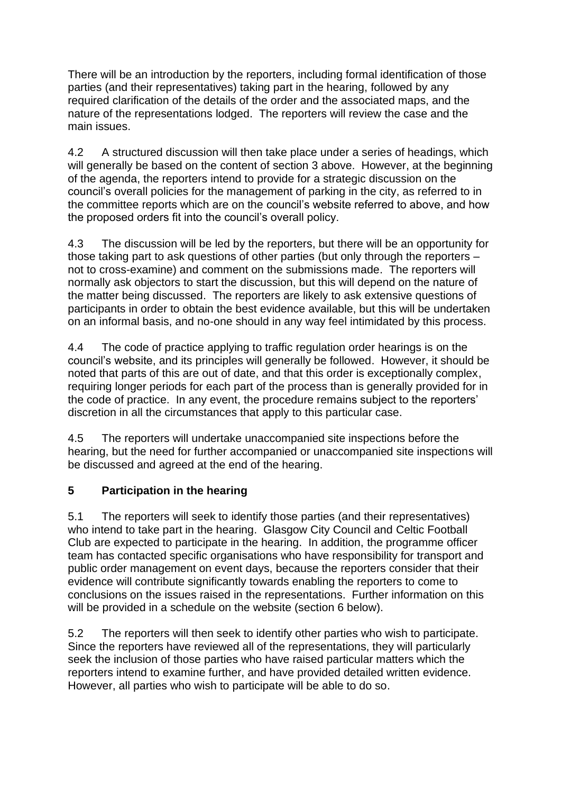There will be an introduction by the reporters, including formal identification of those parties (and their representatives) taking part in the hearing, followed by any required clarification of the details of the order and the associated maps, and the nature of the representations lodged. The reporters will review the case and the main issues.

4.2 A structured discussion will then take place under a series of headings, which will generally be based on the content of section 3 above. However, at the beginning of the agenda, the reporters intend to provide for a strategic discussion on the council's overall policies for the management of parking in the city, as referred to in the committee reports which are on the council's website referred to above, and how the proposed orders fit into the council's overall policy.

4.3 The discussion will be led by the reporters, but there will be an opportunity for those taking part to ask questions of other parties (but only through the reporters – not to cross-examine) and comment on the submissions made. The reporters will normally ask objectors to start the discussion, but this will depend on the nature of the matter being discussed. The reporters are likely to ask extensive questions of participants in order to obtain the best evidence available, but this will be undertaken on an informal basis, and no-one should in any way feel intimidated by this process.

4.4 The code of practice applying to traffic regulation order hearings is on the council's website, and its principles will generally be followed. However, it should be noted that parts of this are out of date, and that this order is exceptionally complex, requiring longer periods for each part of the process than is generally provided for in the code of practice. In any event, the procedure remains subject to the reporters' discretion in all the circumstances that apply to this particular case.

4.5 The reporters will undertake unaccompanied site inspections before the hearing, but the need for further accompanied or unaccompanied site inspections will be discussed and agreed at the end of the hearing.

## **5 Participation in the hearing**

5.1 The reporters will seek to identify those parties (and their representatives) who intend to take part in the hearing. Glasgow City Council and Celtic Football Club are expected to participate in the hearing. In addition, the programme officer team has contacted specific organisations who have responsibility for transport and public order management on event days, because the reporters consider that their evidence will contribute significantly towards enabling the reporters to come to conclusions on the issues raised in the representations. Further information on this will be provided in a schedule on the website (section 6 below).

5.2 The reporters will then seek to identify other parties who wish to participate. Since the reporters have reviewed all of the representations, they will particularly seek the inclusion of those parties who have raised particular matters which the reporters intend to examine further, and have provided detailed written evidence. However, all parties who wish to participate will be able to do so.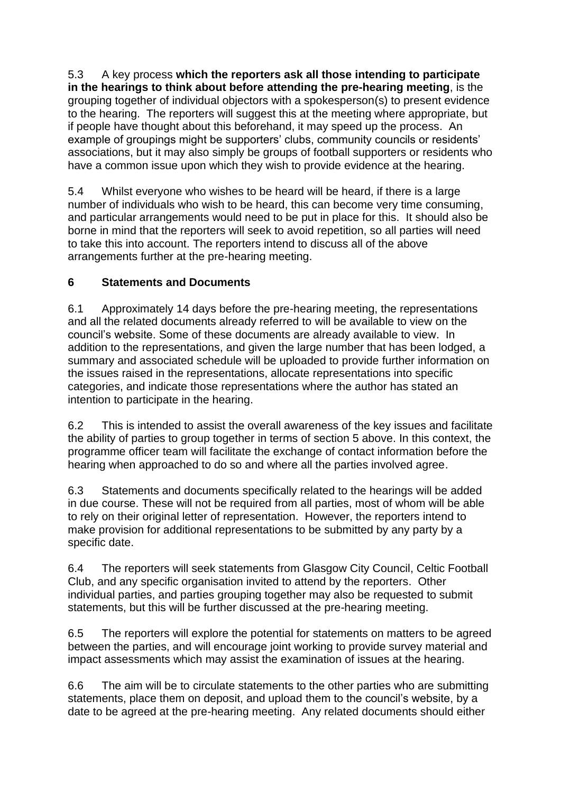5.3 A key process **which the reporters ask all those intending to participate in the hearings to think about before attending the pre-hearing meeting**, is the grouping together of individual objectors with a spokesperson(s) to present evidence to the hearing. The reporters will suggest this at the meeting where appropriate, but if people have thought about this beforehand, it may speed up the process. An example of groupings might be supporters' clubs, community councils or residents' associations, but it may also simply be groups of football supporters or residents who have a common issue upon which they wish to provide evidence at the hearing.

5.4 Whilst everyone who wishes to be heard will be heard, if there is a large number of individuals who wish to be heard, this can become very time consuming, and particular arrangements would need to be put in place for this. It should also be borne in mind that the reporters will seek to avoid repetition, so all parties will need to take this into account. The reporters intend to discuss all of the above arrangements further at the pre-hearing meeting.

## **6 Statements and Documents**

6.1 Approximately 14 days before the pre-hearing meeting, the representations and all the related documents already referred to will be available to view on the council's website. Some of these documents are already available to view. In addition to the representations, and given the large number that has been lodged, a summary and associated schedule will be uploaded to provide further information on the issues raised in the representations, allocate representations into specific categories, and indicate those representations where the author has stated an intention to participate in the hearing.

6.2 This is intended to assist the overall awareness of the key issues and facilitate the ability of parties to group together in terms of section 5 above. In this context, the programme officer team will facilitate the exchange of contact information before the hearing when approached to do so and where all the parties involved agree.

6.3 Statements and documents specifically related to the hearings will be added in due course. These will not be required from all parties, most of whom will be able to rely on their original letter of representation. However, the reporters intend to make provision for additional representations to be submitted by any party by a specific date.

6.4 The reporters will seek statements from Glasgow City Council, Celtic Football Club, and any specific organisation invited to attend by the reporters. Other individual parties, and parties grouping together may also be requested to submit statements, but this will be further discussed at the pre-hearing meeting.

6.5 The reporters will explore the potential for statements on matters to be agreed between the parties, and will encourage joint working to provide survey material and impact assessments which may assist the examination of issues at the hearing.

6.6 The aim will be to circulate statements to the other parties who are submitting statements, place them on deposit, and upload them to the council's website, by a date to be agreed at the pre-hearing meeting. Any related documents should either